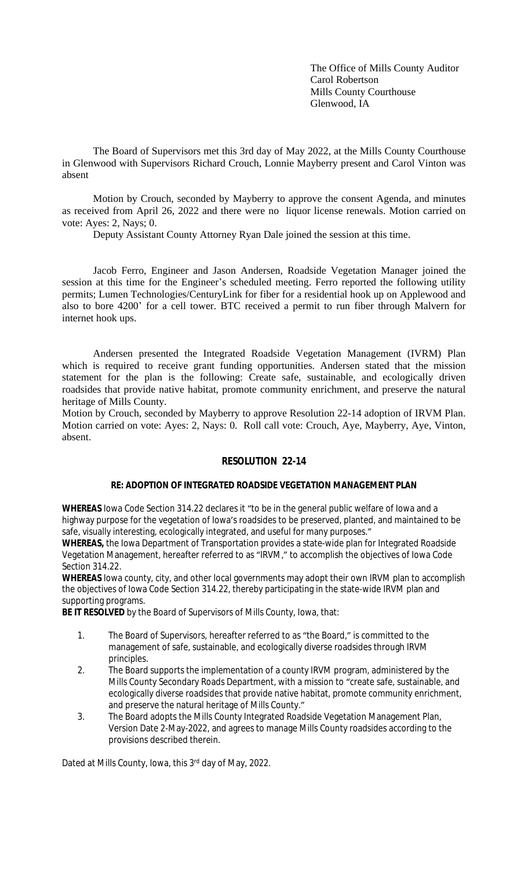The Office of Mills County Auditor Carol Robertson Mills County Courthouse Glenwood, IA

The Board of Supervisors met this 3rd day of May 2022, at the Mills County Courthouse in Glenwood with Supervisors Richard Crouch, Lonnie Mayberry present and Carol Vinton was absent

Motion by Crouch, seconded by Mayberry to approve the consent Agenda, and minutes as received from April 26, 2022 and there were no liquor license renewals. Motion carried on vote: Ayes: 2, Nays; 0.

Deputy Assistant County Attorney Ryan Dale joined the session at this time.

Jacob Ferro, Engineer and Jason Andersen, Roadside Vegetation Manager joined the session at this time for the Engineer's scheduled meeting. Ferro reported the following utility permits; Lumen Technologies/CenturyLink for fiber for a residential hook up on Applewood and also to bore 4200' for a cell tower. BTC received a permit to run fiber through Malvern for internet hook ups.

Andersen presented the Integrated Roadside Vegetation Management (IVRM) Plan which is required to receive grant funding opportunities. Andersen stated that the mission statement for the plan is the following: Create safe, sustainable, and ecologically driven roadsides that provide native habitat, promote community enrichment, and preserve the natural heritage of Mills County.

Motion by Crouch, seconded by Mayberry to approve Resolution 22-14 adoption of IRVM Plan. Motion carried on vote: Ayes: 2, Nays: 0. Roll call vote: Crouch, Aye, Mayberry, Aye, Vinton, absent.

## **RESOLUTION 22-14**

## **RE: ADOPTION OF INTEGRATED ROADSIDE VEGETATION MANAGEMENT PLAN**

**WHEREAS** Iowa Code Section 314.22 declares it "to be in the general public welfare of Iowa and a highway purpose for the vegetation of Iowa's roadsides to be preserved, planted, and maintained to be safe, visually interesting, ecologically integrated, and useful for many purposes."

**WHEREAS,** the Iowa Department of Transportation provides a state-wide plan for Integrated Roadside Vegetation Management, hereafter referred to as "IRVM," to accomplish the objectives of Iowa Code Section 314.22.

**WHEREAS** Iowa county, city, and other local governments may adopt their own IRVM plan to accomplish the objectives of Iowa Code Section 314.22, thereby participating in the state-wide IRVM plan and supporting programs.

**BE IT RESOLVED** by the Board of Supervisors of Mills County, Iowa, that:

- 1. The Board of Supervisors, hereafter referred to as "the Board," is committed to the management of safe, sustainable, and ecologically diverse roadsides through IRVM principles.
- 2. The Board supports the implementation of a county IRVM program, administered by the Mills County Secondary Roads Department, with a mission to "create safe, sustainable, and ecologically diverse roadsides that provide native habitat, promote community enrichment, and preserve the natural heritage of Mills County."
- 3. The Board adopts the Mills County Integrated Roadside Vegetation Management Plan, Version Date 2-May-2022, and agrees to manage Mills County roadsides according to the provisions described therein.

Dated at Mills County, Iowa, this 3rd day of May, 2022.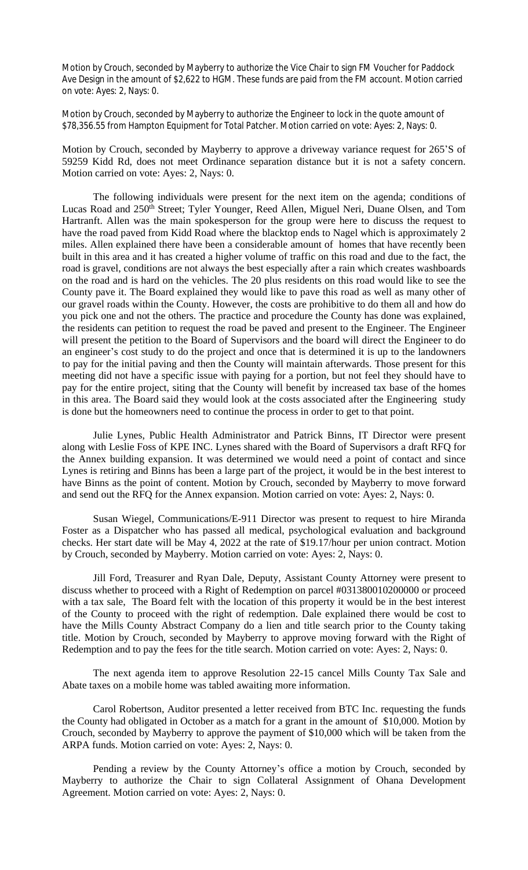Motion by Crouch, seconded by Mayberry to authorize the Vice Chair to sign FM Voucher for Paddock Ave Design in the amount of \$2,622 to HGM. These funds are paid from the FM account. Motion carried on vote: Ayes: 2, Nays: 0.

Motion by Crouch, seconded by Mayberry to authorize the Engineer to lock in the quote amount of \$78,356.55 from Hampton Equipment for Total Patcher. Motion carried on vote: Ayes: 2, Nays: 0.

Motion by Crouch, seconded by Mayberry to approve a driveway variance request for 265'S of 59259 Kidd Rd, does not meet Ordinance separation distance but it is not a safety concern. Motion carried on vote: Ayes: 2, Nays: 0.

The following individuals were present for the next item on the agenda; conditions of Lucas Road and 250<sup>th</sup> Street; Tyler Younger, Reed Allen, Miguel Neri, Duane Olsen, and Tom Hartranft. Allen was the main spokesperson for the group were here to discuss the request to have the road paved from Kidd Road where the blacktop ends to Nagel which is approximately 2 miles. Allen explained there have been a considerable amount of homes that have recently been built in this area and it has created a higher volume of traffic on this road and due to the fact, the road is gravel, conditions are not always the best especially after a rain which creates washboards on the road and is hard on the vehicles. The 20 plus residents on this road would like to see the County pave it. The Board explained they would like to pave this road as well as many other of our gravel roads within the County. However, the costs are prohibitive to do them all and how do you pick one and not the others. The practice and procedure the County has done was explained, the residents can petition to request the road be paved and present to the Engineer. The Engineer will present the petition to the Board of Supervisors and the board will direct the Engineer to do an engineer's cost study to do the project and once that is determined it is up to the landowners to pay for the initial paving and then the County will maintain afterwards. Those present for this meeting did not have a specific issue with paying for a portion, but not feel they should have to pay for the entire project, siting that the County will benefit by increased tax base of the homes in this area. The Board said they would look at the costs associated after the Engineering study is done but the homeowners need to continue the process in order to get to that point.

Julie Lynes, Public Health Administrator and Patrick Binns, IT Director were present along with Leslie Foss of KPE INC. Lynes shared with the Board of Supervisors a draft RFQ for the Annex building expansion. It was determined we would need a point of contact and since Lynes is retiring and Binns has been a large part of the project, it would be in the best interest to have Binns as the point of content. Motion by Crouch, seconded by Mayberry to move forward and send out the RFQ for the Annex expansion. Motion carried on vote: Ayes: 2, Nays: 0.

Susan Wiegel, Communications/E-911 Director was present to request to hire Miranda Foster as a Dispatcher who has passed all medical, psychological evaluation and background checks. Her start date will be May 4, 2022 at the rate of \$19.17/hour per union contract. Motion by Crouch, seconded by Mayberry. Motion carried on vote: Ayes: 2, Nays: 0.

Jill Ford, Treasurer and Ryan Dale, Deputy, Assistant County Attorney were present to discuss whether to proceed with a Right of Redemption on parcel #031380010200000 or proceed with a tax sale, The Board felt with the location of this property it would be in the best interest of the County to proceed with the right of redemption. Dale explained there would be cost to have the Mills County Abstract Company do a lien and title search prior to the County taking title. Motion by Crouch, seconded by Mayberry to approve moving forward with the Right of Redemption and to pay the fees for the title search. Motion carried on vote: Ayes: 2, Nays: 0.

The next agenda item to approve Resolution 22-15 cancel Mills County Tax Sale and Abate taxes on a mobile home was tabled awaiting more information.

Carol Robertson, Auditor presented a letter received from BTC Inc. requesting the funds the County had obligated in October as a match for a grant in the amount of \$10,000. Motion by Crouch, seconded by Mayberry to approve the payment of \$10,000 which will be taken from the ARPA funds. Motion carried on vote: Ayes: 2, Nays: 0.

Pending a review by the County Attorney's office a motion by Crouch, seconded by Mayberry to authorize the Chair to sign Collateral Assignment of Ohana Development Agreement. Motion carried on vote: Ayes: 2, Nays: 0.